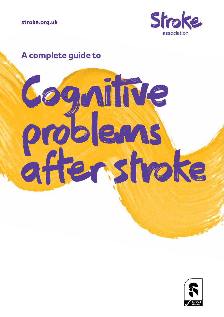

# **A complete guide to**



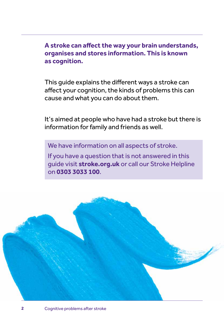**A stroke can affect the way your brain understands, organises and stores information. This is known as cognition.**

This guide explains the different ways a stroke can affect your cognition, the kinds of problems this can cause and what you can do about them.

It's aimed at people who have had a stroke but there is information for family and friends as well.

We have information on all aspects of stroke.

If you have a question that is not answered in this guide visit **[stroke.org.uk](http://www.stroke.org.uk)** or call our Stroke Helpline on **0303 3033 100**.

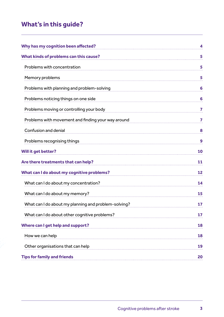# **What's in this guide?**

| Why has my cognition been affected?                  | $\boldsymbol{4}$ |
|------------------------------------------------------|------------------|
| What kinds of problems can this cause?               | 5                |
| Problems with concentration                          | 5                |
| Memory problems                                      | 5                |
| Problems with planning and problem-solving           | 6                |
| Problems noticing things on one side                 | 6                |
| Problems moving or controlling your body             | 7                |
| Problems with movement and finding your way around   | 7                |
| Confusion and denial                                 | 8                |
| Problems recognising things                          | 9                |
| Will it get better?                                  | 10               |
| Are there treatments that can help?                  | 11               |
| What can I do about my cognitive problems?           | 12               |
| What can I do about my concentration?                | 14               |
| What can I do about my memory?                       | 15               |
| What can I do about my planning and problem-solving? | 17               |
| What can I do about other cognitive problems?        | 17               |
| Where can I get help and support?                    | 18               |
| How we can help                                      | 18               |
| Other organisations that can help                    | 19               |
| <b>Tips for family and friends</b>                   | 20               |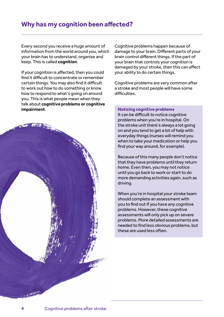# <span id="page-3-0"></span>**Why has my cognition been affected?**

Every second you receive a huge amount of information from the world around you, which your brain has to understand, organise and keep. This is called **cognition**.

If your cognition is affected, then you could find it difficult to concentrate or remember certain things. You may also find it difficult to work out how to do something or know how to respond to what's going on around you. This is what people mean when they talk about **cognitive problems or cognitive impairment**.



Cognitive problems happen because of damage to your brain. Different parts of your brain control different things. If the part of your brain that controls your cognition is damaged by your stroke, then this can affect your ability to do certain things.

Cognitive problems are very common after a stroke and most people will have some difficulties.

#### **Noticing cognitive problems**

It can be difficult to notice cognitive problems when you're in hospital. On the stroke unit there's always a lot going on and you tend to get a lot of help with everyday things (nurses will remind you when to take your medication or help you find your way around, for example).

Because of this many people don't notice that they have problems until they return home. Even then, you may not notice until you go back to work or start to do more demanding activities again, such as driving.

When you're in hospital your stroke team should complete an assessment with you to find out if you have any cognitive problems. However, these cognitive assessments will only pick up on severe problems. More detailed assessments are needed to find less obvious problems, but these are used less often.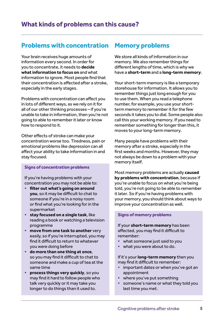## <span id="page-4-1"></span><span id="page-4-0"></span>**Problems with concentration**

Your brain receives huge amounts of information every second. In order for you to concentrate, it needs to **decide what information to focus on** and what information to ignore. Most people find that their concentration is affected after a stroke, especially in the early stages.

Problems with concentration can affect you in lots of different ways, as we rely on it for all of our other thinking processes – if you're unable to take in information, then you're not going to able to remember it later or know how to respond to it.

Other effects of stroke can make your concentration worse too. Tiredness, pain or emotional problems like depression can all affect your ability to take information in and stay focused.

#### **Signs of concentration problems**

If you're having problems with your concentration you may not be able to:

- **• filter out what's going on around you**, so it may be difficult to chat to someone if you're in a noisy room or find what you're looking for in the supermarket
- **• stay focused on a single task**, like reading a book or watching a television programme
- **• move from one task to another** very easily, so if you're interrupted, you may find it difficult to return to whatever you were doing before
- **• do more than one thing at once**, so you may find it difficult to chat to someone and make a cup of tea at the same time
- **• process things very quickly**, so you may find it hard to follow people who talk very quickly or it may take you longer to do things than it used to.

### <span id="page-4-2"></span>**Memory problems**

We store all kinds of information in our memory. We also remember things for different lengths of time, which is why we have a **short-term** and a **long-term memory**.

Your short-term memory is like a temporary storehouse for information. It allows you to remember things just long enough for you to use them. When you read a telephone number, for example, you use your shortterm memory to remember it for the few seconds it takes you to dial. Some people also call this your working memory. If you need to remember something for longer than this, it moves to your long-term memory.

Many people have problems with their memory after a stroke, especially in the first weeks and months. However, they may not always be down to a problem with your memory itself.

Most memory problems are actually **caused by problems with concentration**, because if you're unable to focus on what you're being told, you're not going to be able to remember it later. So if you're having problems with your memory, you should think about ways to improve your concentration as well.

#### **Signs of memory problems**

If your **short-term memory** has been affected, you may find it difficult to remember:

- **•** what someone just said to you
- **•** what you were about to do.

If it's your **long-term memory** then you may find it difficult to remember:

- **•** important dates or when you've got an appointment
- **•** where you've put something
- **•** someone's name or what they told you last time you met.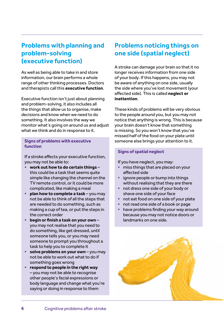# <span id="page-5-0"></span>**Problems with planning and problem-solving (executive function)**

As well as being able to take in and store information, our brain performs a whole range of other thinking processes. Doctors and therapists call this **executive function**.

Executive function isn't just about planning and problem-solving, it also includes all the things that allow us to organise, make decisions and know when we need to do something. It also involves the way we monitor what's going on around us and adjust what we think and do in response to it.

#### **Signs of problems with executive function**

If a stroke affects your executive function, you may not be able to:

- **• work out how to do certain things** this could be a task that seems quite simple like changing the channel on the TV remote control, or it could be more complicated, like making a meal
- **• plan how to complete a task** you may not be able to think of all the steps that are needed to do something, such as making a cup of tea, or put the steps in the correct order
- **• begin or finish a task on your own** you may not realise that you need to do something, like get dressed, until someone tells you, or you may need someone to prompt you throughout a task to help you to complete it
- **• solve problems on your own** you may not be able to work out what to do if something goes wrong
- **• respond to people in the right way** – you may not be able to recognise other people's facial expressions or body language and change what you're saying or doing in response to them

# <span id="page-5-1"></span>**Problems noticing things on one side (spatial neglect)**

A stroke can damage your brain so that it no longer receives information from one side of your body. If this happens, you may not be aware of anything on one side, usually the side where you've lost movement (your affected side). This is called **neglect or inattention**.

These kinds of problems will be very obvious to the people around you, but you may not notice that anything is wrong. This is because your brain doesn't know that something is missing. So you won't know that you've missed half of the food on your plate until someone else brings your attention to it.

#### **Signs of spatial neglect**

If you have neglect, you may:

- **•** miss things that are placed on your affected side
- **•** ignore people or bump into things without realising that they are there
- **•** not dress one side of your body or shave one side of your face
- **•** not eat food on one side of your plate
- **•** not read one side of a book or page
- **•** have problems finding your way around because you may not notice doors or landmarks on one side.

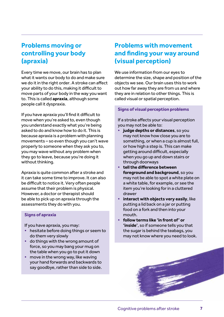# <span id="page-6-0"></span>**Problems moving or controlling your body (apraxia)**

Every time we move, our brain has to plan what it wants our body to do and make sure we do it in the right order. A stroke can affect your ability to do this, making it difficult to move parts of your body in the way you want to. This is called **apraxia**, although some people call it dyspraxia.

If you have apraxia you'll find it difficult to move when you're asked to, even though you understand exactly what you're being asked to do and know how to do it. This is because apraxia is a problem with planning movements – so even though you can't wave properly to someone when they ask you to, you may wave without any problem when they go to leave, because you're doing it without thinking.

Apraxia is quite common after a stroke and it can take some time to improve. It can also be difficult to notice it. Very often people assume that their problem is physical. However, a doctor or therapist should be able to pick up on apraxia through the assessments they do with you.

#### **Signs of apraxia**

If you have apraxia, you may:

- **•** hesitate before doing things or seem to do them very slowly
- **•** do things with the wrong amount of force, so you may bang your mug on the table when you go to put it down
- **•** move in the wrong way, like waving your hand forwards and backwards to say goodbye, rather than side to side.

# <span id="page-6-1"></span>**Problems with movement and finding your way around (visual perception)**

We use information from our eyes to determine the size, shape and position of the objects we see. Our brain uses this to work out how far away they are from us and where they are in relation to other things. This is called visual or spatial perception.

#### **Signs of visual perception problems**

If a stroke affects your visual perception you may not be able to:

- **• judge depths or distances**, so you may not know how close you are to something, or when a cup is almost full, or how high a step is. This can make getting around difficult, especially when you go up and down stairs or through doorways
- **• tell the difference between foreground and background**, so you may not be able to spot a white plate on a white table, for example, or see the item you're looking for in a cluttered drawer
- **• interact with objects very easily**, like putting a lid back on a jar or putting food on a fork and then into your mouth.
- **• follow terms like 'in front of' or 'inside'**, so if someone tells you that the sugar is behind the teabags, you may not know where you need to look.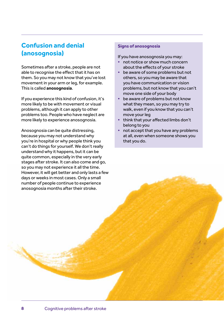# <span id="page-7-0"></span>**Confusion and denial (anosognosia)**

Sometimes after a stroke, people are not able to recognise the effect that it has on them. So you may not know that you've lost movement in your arm or leg, for example. This is called **anosognosia**.

If you experience this kind of confusion, it's more likely to be with movement or visual problems, although it can apply to other problems too. People who have neglect are more likely to experience anosognosia.

Anosognosia can be quite distressing, because you may not understand why you're in hospital or why people think you can't do things for yourself. We don't really understand why it happens, but it can be quite common, especially in the very early stages after stroke. It can also come and go, so you may not experience it all the time. However, it will get better and only lasts a few days or weeks in most cases. Only a small number of people continue to experience anosognosia months after their stroke.

#### **Signs of anosognosia**

If you have anosognosia you may:

- **•** not notice or show much concern about the effects of your stroke
- **•** be aware of some problems but not others, so you may be aware that you have communication or vision problems, but not know that you can't move one side of your body
- **•** be aware of problems but not know what they mean, so you may try to walk, even if you know that you can't move your leg
- **•** think that your affected limbs don't belong to you
- **•** not accept that you have any problems at all, even when someone shows you that you do.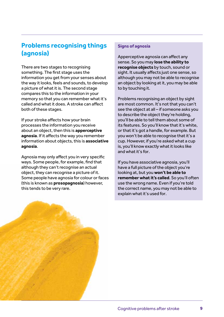# <span id="page-8-0"></span>**Problems recognising things (agnosia)**

There are two stages to recognising something. The first stage uses the information you get from your senses about the way it looks, feels and sounds, to develop a picture of what it is. The second stage compares this to the information in your memory so that you can remember what it's called and what it does. A stroke can affect both of these stages.

If your stroke affects how your brain processes the information you receive about an object, then this is **apperceptive agnosia**. If it affects the way you remember information about objects, this is **associative agnosia**.

Agnosia may only affect you in very specific ways. Some people, for example, find that although they can't recognise an actual object, they can recognise a picture of it. Some people have agnosia for colour or faces (this is known as **prosopagnosia**) however, this tends to be very rare.

#### **Signs of agnosia**

Apperceptive agnosia can affect any sense. So you may **lose the ability to recognise objects** by touch, sound or sight. It usually affects just one sense, so although you may not be able to recognise an object by looking at it, you may be able to by touching it.

Problems recognising an object by sight are most common. It's not that you can't see the object at all – if someone asks you to describe the object they're holding, you'll be able to tell them about some of its features. So you'll know that it's white, or that it's got a handle, for example. But you won't be able to recognise that it's a cup. However, if you're asked what a cup is, you'll know exactly what it looks like and what it's for.

If you have associative agnosia, you'll have a full picture of the object you're looking at, but you **won't be able to remember what it's called**. So you'll often use the wrong name. Even if you're told the correct name, you may not be able to explain what it's used for.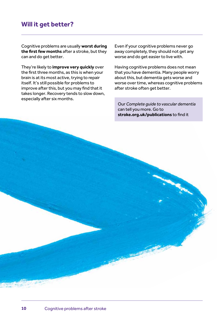# <span id="page-9-0"></span>**Will it get better?**

Cognitive problems are usually **worst during the first few months** after a stroke, but they can and do get better.

They're likely to **improve very quickly** over the first three months, as this is when your brain is at its most active, trying to repair itself. It's still possible for problems to improve after this, but you may find that it takes longer. Recovery tends to slow down, especially after six months.

Even if your cognitive problems never go away completely, they should not get any worse and do get easier to live with.

Having cognitive problems does not mean that you have dementia. Many people worry about this, but dementia gets worse and worse over time, whereas cognitive problems after stroke often get better.

Our *Complete guide to vascular dementia*  can tell you more. Go to **[stroke.org.uk/publications](http://www.stroke.org.uk/publications)** to find it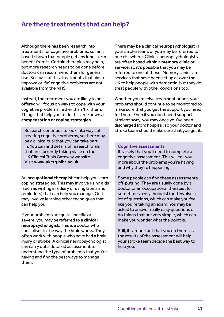<span id="page-10-0"></span>Although there has been research into treatments for cognitive problems, so far it hasn't shown that people get any long-term benefit from it. Certain therapies may help, but more research needs to be done before doctors can recommend them for general use. Because of this, treatments that aim to improve or 'fix' cognitive problems are not available from the NHS.

Instead, the treatment you are likely to be offered will focus on ways to cope with your cognitive problems, rather than 'fix' them. Things that help you to do this are known as **compensation or coping strategies**.

Research continues to look into ways of treating cognitive problems, so there may be a clinical trial that you can take part in. You can find details of research trials that are currently taking place on the UK Clinical Trials Gateway website. Visit **[www.ukctg.nihr.ac.uk](http://www.ukctg.nihr.ac.uk)** 

An **occupational therapist** can help you learn coping strategies. This may involve using aids (such as writing in a diary or using labels and reminders) that can help you manage. Or it may involve learning other techniques that can help you.

If your problems are quite specific or severe, you may be referred to a **clinical neuropsychologist**. This is a doctor who specialises in the way the brain works. They often work with people who have had a brain injury or stroke. A clinical neuropsychologist can carry out a detailed assessment to understand the type of problems that you're having and find the best ways to manage them.

There may be a clinical neuropsychologist in your stroke team, or you may be referred to one elsewhere. Clinical neuropsychologists are often based within a **memory clinic** or service, so it's possible that you may be referred to one of these. Memory clinics are services that have been set up all over the UK to help people with dementia, but they do treat people with other conditions too.

Whether you receive treatment or not, your problems should continue to be monitored to make sure that you get the support you need for them. Even if you don't need support straight away, you may once you've been discharged from hospital, so your doctor and stroke team should make sure that you get it.

#### **Cognitive assessments**

It's likely that you'll need to complete a cognitive assessment. This will tell you more about the problems you're having and why they're happening.

Some people can find these assessments off-putting. They are usually done by a doctor or an occupational therapist (or sometimes a psychologist) and involve a lot of questions, which can make you feel like you're taking an exam. You may be asked to answer really easy questions or do things that are very simple, which can make you wonder what the point is.

Still, it's important that you do them, as the results of the assessment will help your stroke team decide the best way to help you.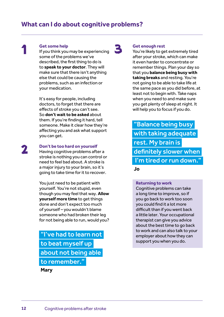# <span id="page-11-0"></span>1

#### **Get some help**

If you think you may be experiencing some of the problems we've described, the first thing to do is to **speak to your doctor**. They will make sure that there isn't anything else that could be causing the problems, such as an infection or your medication.

It's easy for people, including doctors, to forget that there are effects of stroke you can't see. So **don't wait to be asked** about them. If you're finding it hard, tell someone. Make it clear how they're affecting you and ask what support you can get.

2

#### **Don't be too hard on yourself**

Having cognitive problems after a stroke is nothing you can control or need to feel bad about. A stroke is a major injury to your brain, so it's going to take time for it to recover.

You just need to be patient with yourself. You're not stupid, even though you may feel that way. **Allow yourself more time** to get things done and don't expect too much of yourself – you wouldn't blame someone who had broken their leg for not being able to run, would you?

"I've had to learn not to beat myself up about not being able to remember."

**Mary**

# 3

#### **Get enough rest**

You're likely to get extremely tired after your stroke, which can make it even harder to concentrate or remember things. Plan your day so that you **balance being busy with taking breaks** and resting. You're not going to be able to take life at the same pace as you did before, at least not to begin with. Take naps when you need to and make sure you get plenty of sleep at night. It will help you to focus if you do.

"Balance being busy with taking adequate rest. My brain is definitely slower when I'm tired or run down.

#### **Jo**

#### **Returning to work**

Cognitive problems can take a long time to improve, so if you go back to work too soon you could find it a lot more difficult than if you went back a little later. Your occupational therapist can give you advice about the best time to go back to work and can also talk to your employer about how they can support you when you do.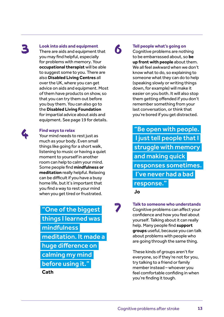# 3

4

**Look into aids and equipment**

There are aids and equipment that you may find helpful, especially for problems with memory. Your **occupational therapist** will be able to suggest some to you. There are also **Disabled Living Centres** all over the UK, where you can get advice on aids and equipment. Most of them have products on show, so that you can try them out before you buy them. You can also go to the **Disabled Living Foundation** for impartial advice about aids and equipment. See [page 19](#page-18-1) for details.

#### **Find ways to relax**

Your mind needs to rest just as much as your body. Even small things like going for a short walk, listening to music or having a quiet moment to yourself in another room can help to calm your mind. Some people find **mindfulness or meditation** really helpful. Relaxing can be difficult if you have a busy home life, but it's important that you find a way to rest your mind when you get tired or frustrated.

"One of the biggest things I learned was mindfulness meditation. It made a huge difference on calming my mind before using it." **Cath**

# 6

**Tell people what's going on** Cognitive problems are nothing to be embarrassed about, so **be up front with people** about them. We all feel awkward when we don't know what to do, so explaining to someone what they can do to help (speaking slowly or writing things down, for example) will make it easier on you both. It will also stop them getting offended if you don't remember something from your last conversation, or think that you're bored if you get distracted.

"Be open with people. I just tell people that I struggle with memory and making quick responses sometimes. I've never had a bad response."

**Jo**

7

**Talk to someone who understands** Cognitive problems can affect your confidence and how you feel about yourself. Talking about it can really help. Many people find **support groups** useful, because you can talk about problems with people who are going through the same thing.

These kinds of groups aren't for everyone, so if they're not for you, try talking to a friend or family member instead – whoever you feel comfortable confiding in when you're finding it tough.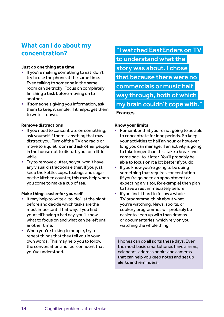# <span id="page-13-0"></span>**What can I do about my concentration?**

#### **Just do one thing at a time**

- **•** If you're making something to eat, don't try to use the phone at the same time. Even talking to someone in the same room can be tricky. Focus on completely finishing a task before moving on to another.
- **•** If someone's giving you information, ask them to keep it simple. If it helps, get them to write it down.

#### **Remove distractions**

- **•** If you need to concentrate on something, ask yourself if there's anything that may distract you. Turn off the TV and radio or move to a quiet room and ask other people in the house not to disturb you for a little while.
- **•** Try to remove clutter, so you won't have any visual distractions either. If you just keep the kettle, cups, teabags and sugar on the kitchen counter, this may help when you come to make a cup of tea.

#### **Make things easier for yourself**

- **•** It may help to write a 'to-do' list the night before and decide which tasks are the most important. That way, if you find yourself having a bad day, you'll know what to focus on and what can be left until another time.
- **•** When you're talking to people, try to repeat things that they tell you in your own words. This may help you to follow the conversation and feel confident that you've understood.

# "I watched EastEnders on TV to understand what the story was about. I chose that because there were no commercials or music half way through, both of which my brain couldn't cope with."

#### **Frances**

#### **Know your limits**

- **•** Remember that you're not going to be able to concentrate for long periods. So keep your activities to half an hour, or however long you can manage. If an activity is going to take longer than this, take a break and come back to it later. You'll probably be able to focus on it a lot better if you do.
- **•** If you know you're going to be doing something that requires concentration (if you're going to an appointment or expecting a visitor, for example) then plan to have a rest immediately before.
- **•** If you find it hard to follow a whole TV programme, think about what you're watching. News, sports, or cookery programmes will probably be easier to keep up with than dramas or documentaries, which rely on you watching the whole thing.

Phones can do all sorts these days. Even the most basic smartphones have alarms, calendars, address books and cameras that can help you keep notes and set up alerts and reminders.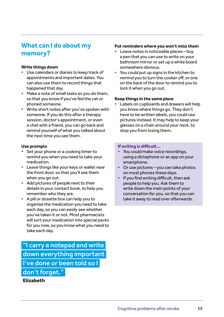# <span id="page-14-0"></span>**What can I do about my memory?**

#### **Write things down**

- **•** Use calendars or diaries to keep track of appointments and important dates. You can also use them to record things that happened that day.
- **•** Make a note of small tasks as you do them, so that you know if you've fed the cat or phoned someone.
- **•** Write short notes after you've spoken with someone. If you do this after a therapy session, doctor's appointment, or even a chat with a friend, you can go back and remind yourself of what you talked about the next time you see them.

#### **Use prompts**

- **•** Set your phone or a cooking timer to remind you when you need to take your medication.
- **•** Leave things like your keys or wallet near the front door, so that you'll see them when you go out.
- **•** Add pictures of people next to their details in your contact book, to help you remember who they are.
- **•** A pill or dosette box can help you to organise the medication you need to take each day, so you can easily see whether you've taken it or not. Most pharmacists will sort your medication into special packs for you now, so you know what you need to take each day.

"I carry a notepad and write down everything important I've done or been told so I don't forget."

#### **Elizabeth**

#### **Put reminders where you won't miss them**

- **•** Leave notes in noticeable places buy a pen that you can use to write on your bathroom mirror or set up a white board somewhere obvious.
- **•** You could put up signs in the kitchen to remind you to turn the cooker off, or one on the back of the door to remind you to lock it when you go out.

#### **Keep things in the same place**

**•** Labels on cupboards and drawers will help you know where things go. They don't have to be written labels, you could use pictures instead. It may help to keep your glasses on a chain around your neck, to stop you from losing them.

#### **If writing is difficult…**

- **•** You could make voice recordings, using a dictaphone or an app on your smartphone.
- **•** Or use pictures you can take photos on most phones these days.
- **•** If you find writing difficult, then ask people to help you. Ask them to write down the main points of your conversation for you, so that you can take it away to read over afterwards.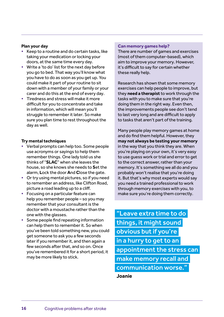#### **Plan your day**

- **•** Keep to a routine and do certain tasks, like taking your medication or locking your doors, at the same time every day.
- **•** Write a 'to do' list for the next day before you go to bed. That way you'll know what you have to do as soon as you get up. You could make it part of your routine to sit down with a member of your family or your carer and do this at the end of every day.
- **•** Tiredness and stress will make it more difficult for you to concentrate and take in information, which will mean you'll struggle to remember it later. So make sure you plan time to rest throughout the day as well.

#### **Try mental techniques**

- **•** Verbal prompts can help too. Some people use acronyms or sayings to help them remember things. One lady told us she thinks of "**SLAC**" when she leaves the house, so she knows she needs to **S**et the alarm, **L**ock the door **A**nd **C**lose the gate.
- **•** Or try using mental pictures, so if you need to remember an address, like Clifton Road, picture a road leading up to a cliff.
- **•** Focusing on a particular feature can help you remember people – so you may remember that your consultant is the doctor with a moustache rather than the one with the glasses.
- **•** Some people find repeating information can help them to remember it. So when you've been told something new, you could get someone to ask you a few seconds later if you remember it, and then again a few seconds after that, and so on. Once you've remembered it for a short period, it may be more likely to stick.

#### **Can memory games help?**

There are number of games and exercises (most of them computer-based), which aim to improve your memory. However, it's difficult to say for certain whether these really help.

Research has shown that some memory exercises can help people to improve, but they **need a therapist** to work through the tasks with you to make sure that you're doing them in the right way. Even then, the improvements people see don't tend to last very long and are difficult to apply to tasks that aren't part of the training.

Many people play memory games at home and do find them helpful. However, they **may not always be testing your memory** in the way that you think they are. When you're playing on your own, it's very easy to use guess work or trial and error to get to the correct answer, rather than your memory. It's something we all do and you probably won't realise that you're doing it. But that's why most experts would say you need a trained professional to work through memory exercises with you, to make sure you're doing them correctly.

"Leave extra time to do things, it might sound obvious but if you're in a hurry to get to an appointment the stress can make memory recall and communication worse."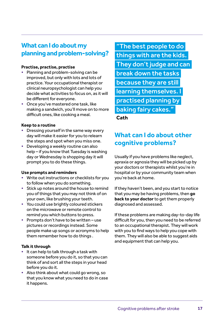# <span id="page-16-0"></span>**What can I do about my planning and problem-solving?**

#### **Practise, practise, practise**

- **•** Planning and problem-solving can be improved, but only with lots and lots of practice. Your occupational therapist or clinical neuropsychologist can help you decide what activities to focus on, as it will be different for everyone.
- **•** Once you've mastered one task, like making a sandwich, you'll move on to more difficult ones, like cooking a meal.

#### **Keep to a routine**

- **•** Dressing yourself in the same way every day will make it easier for you to relearn the steps and spot when you miss one.
- **•** Developing a weekly routine can also help – if you know that Tuesday is washing day or Wednesday is shopping day it will prompt you to do these things.

#### **Use prompts and reminders**

- **•** Write out instructions or checklists for you to follow when you do something.
- **•** Stick up notes around the house to remind you of things that you may not think of on your own, like brushing your teeth.
- **•** You could use brightly coloured stickers on the microwave or remote control to remind you which buttons to press.
- **•** Prompts don't have to be written use pictures or recordings instead. Some people make up songs or acronyms to help them remember how to do things .

#### **Talk it through**

- **•** It can help to talk through a task with someone before you do it, so that you can think of and sort all the steps in your head before you do it.
- **•** Also think about what could go wrong, so that you know what you need to do in case it happens.

"The best people to do things with are the kids. They don't judge and can break down the tasks because they are still learning themselves. I practised planning by baking fairy cakes."

**Cath**

# <span id="page-16-1"></span>**What can I do about other cognitive problems?**

Usually if you have problems like neglect, apraxia or agnosia they will be picked up by your doctors or therapists whilst you're in hospital or by your community team when you're back at home.

If they haven't been, and you start to notice that you may be having problems, then **go back to your doctor** to get them properly diagnosed and assessed.

If these problems are making day-to-day life difficult for you, then you need to be referred to an occupational therapist. They will work with you to find ways to help you cope with them. They will also be able to suggest aids and equipment that can help you.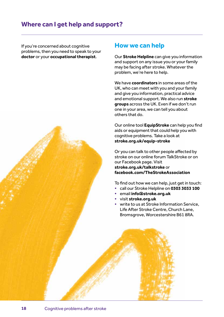<span id="page-17-0"></span>If you're concerned about cognitive problems, then you need to speak to your **doctor** or your **occupational therapist**.

### <span id="page-17-1"></span>**How we can help**

Our **Stroke Helpline** can give you information and support on any issue you or your family may be facing after stroke. Whatever the problem, we're here to help.

We have **coordinators** in some areas of the UK, who can meet with you and your family and give you information, practical advice and emotional support. We also run **stroke groups** across the UK. Even if we don't run one in your area, we can tell you about others that do.

Our online tool **EquipStroke** can help you find aids or equipment that could help you with cognitive problems. Take a look at **[stroke.org.uk/equip-stroke](http://www.stroke.org.uk/equip-stroke)**

Or you can talk to other people affected by stroke on our online forum TalkStroke or on our Facebook page. Visit **[stroke.org.uk/talkstroke](http://www.stroke.org.uk/talkstroke)** or **[facebook.com/TheStrokeAssociation](http://www.facebook.com/thestrokeassociation)**

To find out how we can help, just get in touch:

- **•** call our Stroke Helpline on **0303 3033 100**
- **•** email **[info@stroke.org.uk](mailto:info%40stroke.org.uk?subject=)**
- **•** visit **[stroke.org.uk](http://www.stroke.org.uk)**
- **•** write to us at Stroke Information Service, Life After Stroke Centre, Church Lane, Bromsgrove, Worcestershire B61 8RA.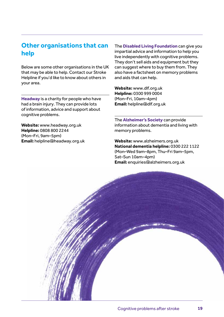# <span id="page-18-1"></span><span id="page-18-0"></span>**Other organisations that can help**

Below are some other organisations in the UK that may be able to help. Contact our Stroke Helpline if you'd like to know about others in your area.

**Headway** is a charity for people who have had a brain injury. They can provide lots of information, advice and support about cognitive problems.

**Website:** [www.headway.org.uk](http://www.headway.org.uk) **Helpline:** 0808 800 2244 (Mon–Fri, 9am–5pm) **Email:** [helpline@headway.org.uk](mailto:helpline%40headway.org.uk?subject=)

The **Disabled Living Foundation** can give you impartial advice and information to help you live independently with cognitive problems. They don't sell aids and equipment but they can suggest where to buy them from. They also have a factsheet on memory problems and aids that can help.

**Website:** [www.dlf.org.uk](http://www.dlf.org.uk) **Helpline:** 0300 999 0004 (Mon–Fri, 10am–4pm) **Email:** [helpline@dlf.org.uk](mailto:helpline%40dlf.org.uk?subject=)

The **Alzheimer's Society** can provide information about dementia and living with memory problems.

**Website:** [www.alzheimers.org.uk](http://www.alzheimers.org.uk) **National dementia helpline:** 0300 222 1122 (Mon–Wed 9am–8pm, Thu–Fri 9am–5pm, Sat–Sun 10am–4pm) **Email:** [enquiries@alzheimers.org.uk](mailto:enquiries%40alzheimers.org.uk?subject=)

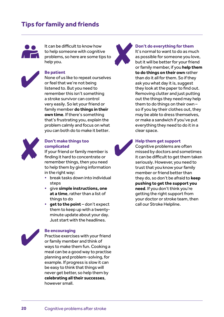# <span id="page-19-0"></span>**Tips for family and friends**



It can be difficult to know how to help someone with cognitive problems, so here are some tips to help you.



#### **Be patient**

None of us like to repeat ourselves or feel that we're not being listened to. But you need to remember this isn't something a stroke survivor can control very easily. So let your friend or family member **do things in their own time**. If there's something that's frustrating you, explain the problem calmly and focus on what you can both do to make it better.



#### **Don't make things too complicated**

If your friend or family member is finding it hard to concentrate or remember things, then you need to help them by giving information in the right way:

- **•** break tasks down into individual steps
- **•** give **simple instructions, one at a time**, rather than a list of things to do
- **• get to the point** don't expect them to keep up with a twentyminute update about your day. Just start with the headlines.

#### **Be encouraging**

Practise exercises with your friend or family member and think of ways to make them fun. Cooking a meal can be a good way to practise planning and problem-solving, for example. If progress is slow it can be easy to think that things will never get better, so help them by **celebrating all their successes**, however small.



#### **Don't do everything for them**

It's normal to want to do as much as possible for someone you love, but it will be better for your friend or family member, if you **help them to do things on their own** rather than do it all for them. So if they ask you what day it is, suggest they look at the paper to find out. Removing clutter and just putting out the things they need may help them to do things on their own – so if you lay their clothes out, they may be able to dress themselves, or make a sandwich if you've put everything they need to do it in a clear space.



#### **Help them get support**

Cognitive problems are often missed by doctors and sometimes it can be difficult to get them taken seriously. However, you need to trust that you know your family member or friend better than they do, so don't be afraid to **keep pushing to get the support you need**. If you don't think you're getting the right support from your doctor or stroke team, then call our Stroke Helpline.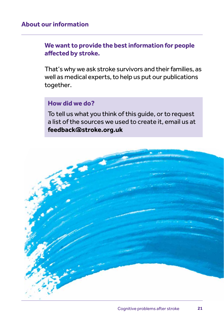## **About our information**

# **We want to provide the best information for people affected by stroke.**

That's why we ask stroke survivors and their families, as well as medical experts, to help us put our publications together.

# **How did we do?**

To tell us what you think of this guide, or to request a list of the sources we used to create it, email us at **[feedback@stroke.org.uk](mailto:feedback%40stroke.org.uk?subject=)**